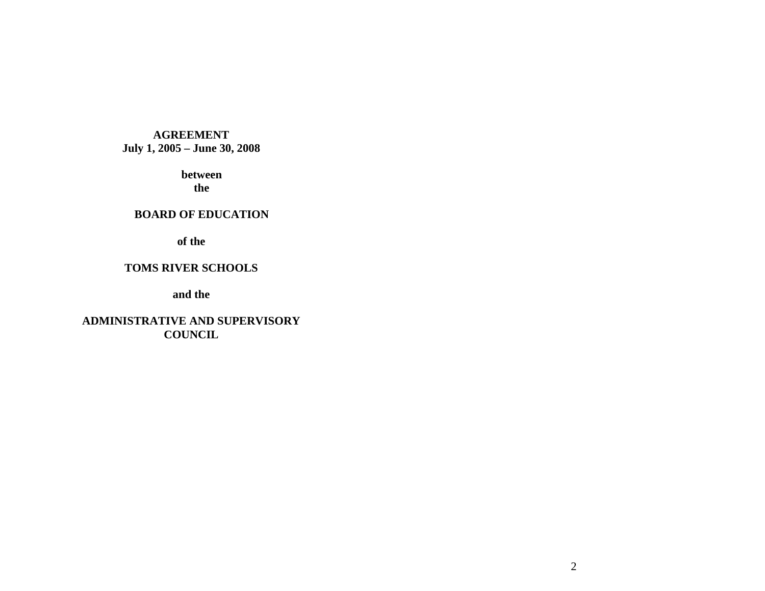# **AGREEMENT July 1, 2005 – June 30, 2008**

 **between the** 

### **BOARD OF EDUCATION**

**of the** 

# **TOMS RIVER SCHOOLS**

**and the** 

**ADMINISTRATIVE AND SUPERVISORY COUNCIL**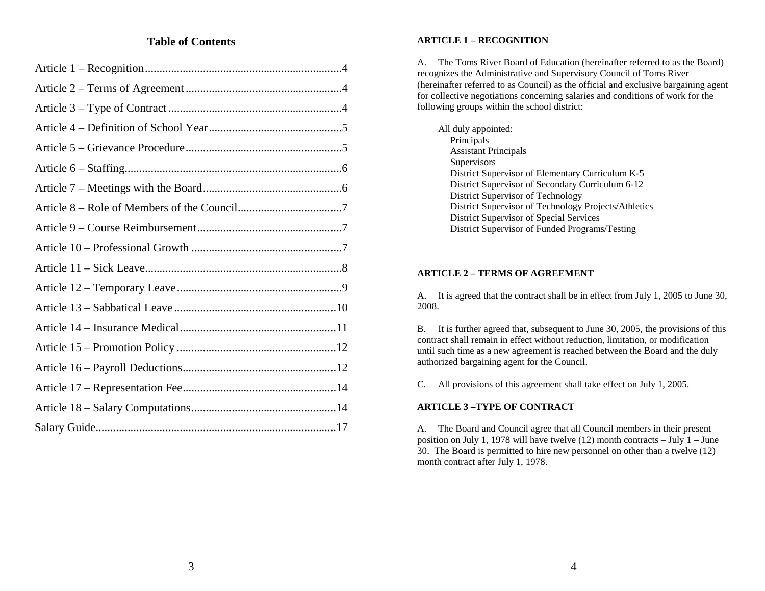# **Table of Contents**

#### **ARTICLE 1 – RECOGNITION**

A. The Toms River Board of Education (hereinafter referred to as the Board) recognizes the Administrative and Supervisory Council of Toms River (hereinafter referred to as Council) as the official and exclusive bargaining agent for collective negotiations concerning salaries and conditions of work for the following groups within the school district:

| All duly appointed:                                  |
|------------------------------------------------------|
| Principals                                           |
| <b>Assistant Principals</b>                          |
| Supervisors                                          |
| District Supervisor of Elementary Curriculum K-5     |
| District Supervisor of Secondary Curriculum 6-12     |
| District Supervisor of Technology                    |
| District Supervisor of Technology Projects/Athletics |
| District Supervisor of Special Services              |
| District Supervisor of Funded Programs/Testing       |

# **ARTICLE 2 – TERMS OF AGREEMENT**

A. It is agreed that the contract shall be in effect from July 1, 2005 to June 30, 2008.

B. It is further agreed that, subsequent to June 30, 2005, the provisions of this contract shall remain in effect without reduction, limitation, or modification until such time as a new agreement is reached between the Board and the duly authorized bargaining agent for the Council.

C. All provisions of this agreement shall take effect on July 1, 2005.

### **ARTICLE 3 –TYPE OF CONTRACT**

A. The Board and Council agree that all Council members in their present position on July 1, 1978 will have twelve (12) month contracts – July 1 – June 30. The Board is permitted to hire new personnel on other than a twelve (12) month contract after July 1, 1978.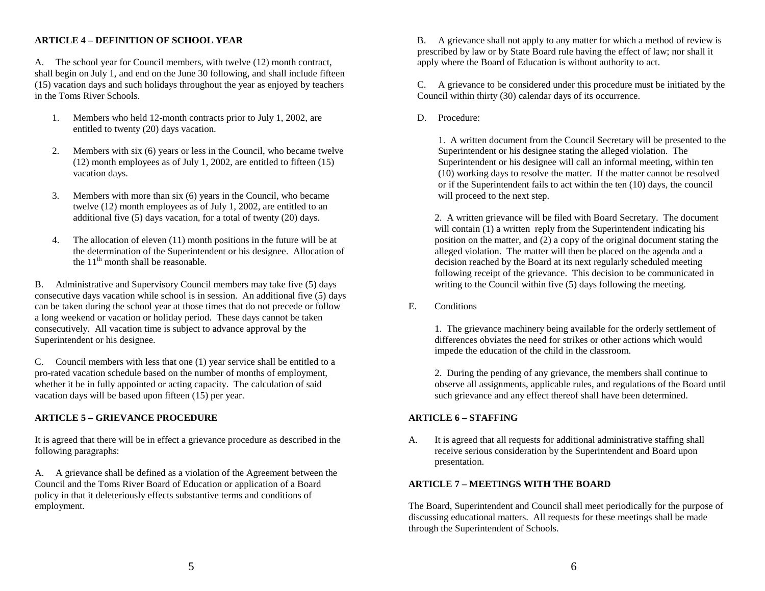# **ARTICLE 4 – DEFINITION OF SCHOOL YEAR**

A. The school year for Council members, with twelve (12) month contract, shall begin on July 1, and end on the June 30 following, and shall include fifteen (15) vacation days and such holidays throughout the year as enjoyed by teachers in the Toms River Schools.

- 1. Members who held 12-month contracts prior to July 1, 2002, are entitled to twenty (20) days vacation.
- 2. Members with six (6) years or less in the Council, who became twelve (12) month employees as of July 1, 2002, are entitled to fifteen (15) vacation days.
- 3. Members with more than six (6) years in the Council, who became twelve (12) month employees as of July 1, 2002, are entitled to an additional five (5) days vacation, for a total of twenty (20) days.
- 4. The allocation of eleven (11) month positions in the future will be at the discussed of the Superintendent or his designee. Allocation of the  $11<sup>th</sup>$  month shall be reasonable.

B. Administrative and Supervisory Council members may take five (5) days consecutive days vacation while school is in session. An additional five (5) days can be taken during the school year at those times that do not precede or follow a long weekend or vacation or holiday period. These days cannot be taken consecutively. All vacation time is subject to advance approval by the Superintendent or his designee.

C. Council members with less that one (1) year service shall be entitled to a pro-rated vacation schedule based on the number of months of employment, whether it be in fully appointed or acting capacity. The calculation of said vacation days will be based upon fifteen (15) per year.

# **ARTICLE 5 – GRIEVANCE PROCEDURE**

It is agreed that there will be in effect a grievance procedure as described in the following paragraphs:

A. A grievance shall be defined as a violation of the Agreement between the Council and the Toms River Board of Education or application of a Board policy in that it deleteriously effects substantive terms and conditions of employment.

B. A grievance shall not apply to any matter for which a method of review is prescribed by law or by State Board rule having the effect of law; nor shall it apply where the Board of Education is without authority to act.

C. A grievance to be considered under this procedure must be initiated by the Council within thirty (30) calendar days of its occurrence.

D. Procedure:

1. A written document from the Council Secretary will be presented to the Superintendent or his designee stating the alleged violation. The Superintendent or his designee will call an informal meeting, within ten (10) working days to resolve the matter. If the matter cannot be resolved or if the Superintendent fails to act within the ten (10) days, the council will proceed to the next step.

2. A written grievance will be filed with Board Secretary. The document will contain (1) a written reply from the Superintendent indicating his position on the matter, and (2) a copy of the original document stating the alleged violation. The matter will then be placed on the agenda and a decision reached by the Board at its next regularly scheduled meeting following receipt of the grievance. This decision to be communicated in writing to the Council within five (5) days following the meeting.

E. Conditions

 1. The grievance machinery being available for the orderly settlement of differences obviates the need for strikes or other actions which would impede the education of the child in the classroom.

 2. During the pending of any grievance, the members shall continue to observe all assignments, applicable rules, and regulations of the Board until such grievance and any effect thereof shall have been determined.

# **ARTICLE 6 – STAFFING**

A. It is agreed that all requests for additional administrative staffing shall receive serious consideration by the Superintendent and Board upon presentation.

# **ARTICLE 7 – MEETINGS WITH THE BOARD**

The Board, Superintendent and Council shall meet periodically for the purpose of discussing educational matters. All requests for these meetings shall be made through the Superintendent of Schools.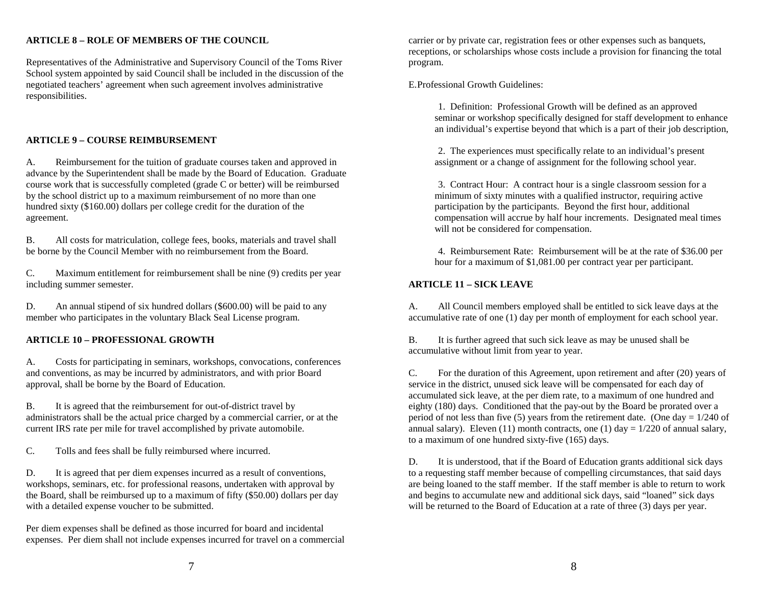# **ARTICLE 8 – ROLE OF MEMBERS OF THE COUNCIL**

Representatives of the Administrative and Supervisory Council of the Toms River School system appointed by said Council shall be included in the discussion of the negotiated teachers' agreement when such agreement involves administrative responsibilities.

# **ARTICLE 9 – COURSE REIMBURSEMENT**

A. Reimbursement for the tuition of graduate courses taken and approved in advance by the Superintendent shall be made by the Board of Education. Graduate course work that is successfully completed (grade C or better) will be reimbursed by the school district up to a maximum reimbursement of no more than one hundred sixty (\$160.00) dollars per college credit for the duration of the agreement.

B. All costs for matriculation, college fees, books, materials and travel shall be borne by the Council Member with no reimbursement from the Board.

C. Maximum entitlement for reimbursement shall be nine (9) credits per year including summer semester.

D. An annual stipend of six hundred dollars (\$600.00) will be paid to any member who participates in the voluntary Black Seal License program.

#### **ARTICLE 10 – PROFESSIONAL GROWTH**

A. Costs for participating in seminars, workshops, convocations, conferences and conventions, as may be incurred by administrators, and with prior Board approval, shall be borne by the Board of Education.

B. It is agreed that the reimbursement for out-of-district travel by administrators shall be the actual price charged by a commercial carrier, or at the current IRS rate per mile for travel accomplished by private automobile.

C. Tolls and fees shall be fully reimbursed where incurred.

D. It is agreed that per diem expenses incurred as a result of conventions, workshops, seminars, etc. for professional reasons, undertaken with approval by the Board, shall be reimbursed up to a maximum of fifty (\$50.00) dollars per day with a detailed expense voucher to be submitted.

Per diem expenses shall be defined as those incurred for board and incidental expenses. Per diem shall not include expenses incurred for travel on a commercial

carrier or by private car, registration fees or other expenses such as banquets, receptions, or scholarships whose costs include a provision for financing the total program.

E. Professional Growth Guidelines:

 1. Definition: Professional Growth will be defined as an approved seminar or workshop specifically designed for staff development to enhance an individual's expertise beyond that which is a part of their job description,

 2. The experiences must specifically relate to an individual's present assignment or a change of assignment for the following school year.

 3. Contract Hour: A contract hour is a single classroom session for a minimum of sixty minutes with a qualified instructor, requiring active participation by the participants. Beyond the first hour, additional compensation will accrue by half hour increments. Designated meal times will not be considered for compensation.

 4. Reimbursement Rate: Reimbursement will be at the rate of \$36.00 per hour for a maximum of \$1,081.00 per contract year per participant.

#### **ARTICLE 11 – SICK LEAVE**

A. All Council members employed shall be entitled to sick leave days at the accumulative rate of one (1) day per month of employment for each school year.

B. It is further agreed that such sick leave as may be unused shall be accumulative without limit from year to year.

C. For the duration of this Agreement, upon retirement and after (20) years of service in the district, unused sick leave will be compensated for each day of accumulated sick leave, at the per diem rate, to a maximum of one hundred and eighty (180) days. Conditioned that the pay-out by the Board be prorated over a period of not less than five (5) years from the retirement date. (One day =  $1/240$  of annual salary). Eleven (11) month contracts, one (1) day =  $1/220$  of annual salary, to a maximum of one hundred sixty-five (165) days.

D. It is understood, that if the Board of Education grants additional sick days to a requesting staff member because of compelling circumstances, that said days are being loaned to the staff member. If the staff member is able to return to work and begins to accumulate new and additional sick days, said "loaned" sick days will be returned to the Board of Education at a rate of three (3) days per year.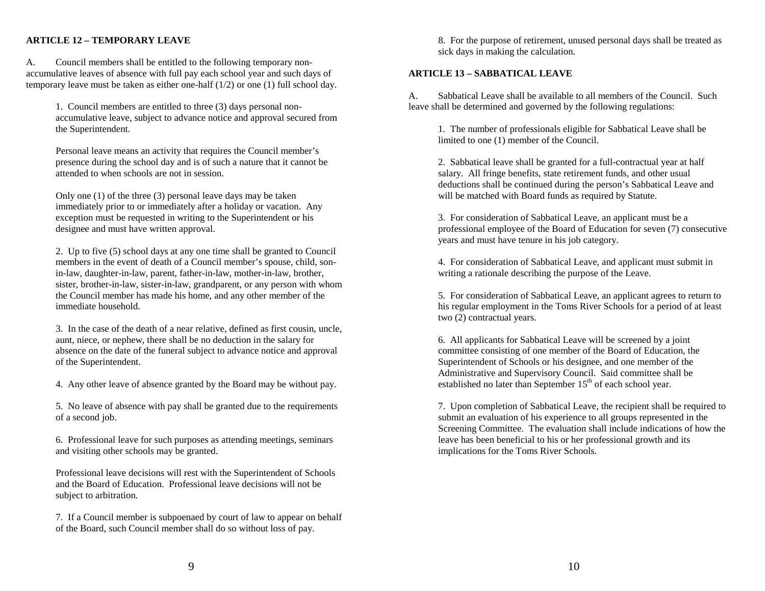# **ARTICLE 12 – TEMPORARY LEAVE**

A. Council members shall be entitled to the following temporary nonaccumulative leaves of absence with full pay each school year and such days of temporary leave must be taken as either one-half (1/2) or one (1) full school day.

1. Council members are entitled to three (3) days personal nonaccumulative leave, subject to advance notice and approval secured from the Superintendent.

Personal leave means an activity that requires the Council member's presence during the school day and is of such a nature that it cannot be attended to when schools are not in session.

Only one (1) of the three (3) personal leave days may be taken immediately prior to or immediately after a holiday or vacation. Any exception must be requested in writing to the Superintendent or his designee and must have written approval.

2. Up to five (5) school days at any one time shall be granted to Council members in the event of death of a Council member's spouse, child, sonin-law, daughter-in-law, parent, father-in-law, mother-in-law, brother, sister, brother-in-law, sister-in-law, grandparent, or any person with whom the Council member has made his home, and any other member of the immediate household.

3. In the case of the death of a near relative, defined as first cousin, uncle, aunt, niece, or nephew, there shall be no deduction in the salary for absence on the date of the funeral subject to advance notice and approval of the Superintendent.

4. Any other leave of absence granted by the Board may be without pay.

5. No leave of absence with pay shall be granted due to the requirements of a second job.

6. Professional leave for such purposes as attending meetings, seminars and visiting other schools may be granted.

Professional leave decisions will rest with the Superintendent of Schools and the Board of Education. Professional leave decisions will not be subject to arbitration.

7. If a Council member is subpoenaed by court of law to appear on behalf of the Board, such Council member shall do so without loss of pay.

8. For the purpose of retirement, unused personal days shall be treated as sick days in making the calculation.

#### **ARTICLE 13 – SABBATICAL LEAVE**

A. Sabbatical Leave shall be available to all members of the Council. Such leave shall be determined and governed by the following regulations:

 1. The number of professionals eligible for Sabbatical Leave shall be limited to one (1) member of the Council.

 2. Sabbatical leave shall be granted for a full-contractual year at half salary. All fringe benefits, state retirement funds, and other usual deductions shall be continued during the person's Sabbatical Leave and will be matched with Board funds as required by Statute.

 3. For consideration of Sabbatical Leave, an applicant must be a professional employee of the Board of Education for seven (7) consecutive years and must have tenure in his job category.

 4. For consideration of Sabbatical Leave, and applicant must submit in writing a rationale describing the purpose of the Leave.

 5. For consideration of Sabbatical Leave, an applicant agrees to return to his regular employment in the Toms River Schools for a period of at least two (2) contractual years.

 6. All applicants for Sabbatical Leave will be screened by a joint committee consisting of one member of the Board of Education, the Superintendent of Schools or his designee, and one member of the Administrative and Supervisory Council. Said committee shall be established no later than September  $15<sup>th</sup>$  of each school year.

 7. Upon completion of Sabbatical Leave, the recipient shall be required to submit an evaluation of his experience to all groups represented in the Screening Committee. The evaluation shall include indications of how the leave has been beneficial to his or her professional growth and its implications for the Toms River Schools.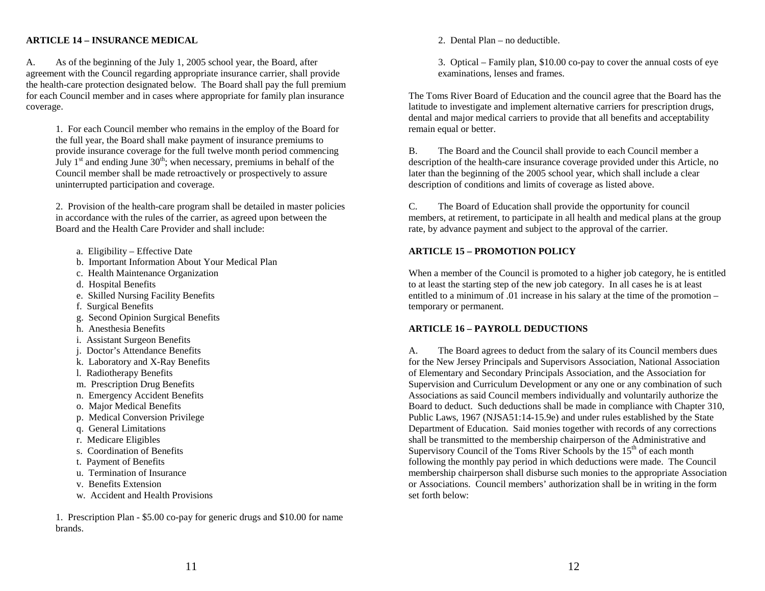### **ARTICLE 14 – INSURANCE MEDICAL**

A. As of the beginning of the July 1, 2005 school year, the Board, after agreement with the Council regarding appropriate insurance carrier, shall provide the health-care protection designated below. The Board shall pay the full premium for each Council member and in cases where appropriate for family plan insurance coverage.

1. For each Council member who remains in the employ of the Board for the full year, the Board shall make payment of insurance premiums to provide insurance coverage for the full twelve month period commencing July  $1<sup>st</sup>$  and ending June  $30<sup>th</sup>$ ; when necessary, premiums in behalf of the Council member shall be made retroactively or prospectively to assure uninterrupted participation and coverage.

2. Provision of the health-care program shall be detailed in master policies in accordance with the rules of the carrier, as agreed upon between the Board and the Health Care Provider and shall include:

- a. Eligibility Effective Date
- b. Important Information About Your Medical Plan
- c. Health Maintenance Organization
- d. Hospital Benefits
- e. Skilled Nursing Facility Benefits
- f. Surgical Benefits
- g. Second Opinion Surgical Benefits
- h. Anesthesia Benefits
- i. Assistant Surgeon Benefits
- j. Doctor's Attendance Benefits
- k. Laboratory and X-Ray Benefits
- l. Radiotherapy Benefits
- m. Prescription Drug Benefits
- n. Emergency Accident Benefits
- o. Major Medical Benefits
- p. Medical Conversion Privilege
- q. General Limitations
- r. Medicare Eligibles
- s. Coordination of Benefits
	- t. Payment of Benefits
	- u. Termination of Insurance
	- v. Benefits Extension
	- w. Accident and Health Provisions

1. Prescription Plan - \$5.00 co-pay for generic drugs and \$10.00 for name brands.

2. Dental Plan – no deductible.

3. Optical – Family plan, \$10.00 co-pay to cover the annual costs of eye examinations, lenses and frames.

The Toms River Board of Education and the council agree that the Board has the latitude to investigate and implement alternative carriers for prescription drugs, dental and major medical carriers to provide that all benefits and acceptability remain equal or better.

B. The Board and the Council shall provide to each Council member a description of the health-care insurance coverage provided under this Article, no later than the beginning of the 2005 school year, which shall include a clear description of conditions and limits of coverage as listed above.

C. The Board of Education shall provide the opportunity for council members, at retirement, to participate in all health and medical plans at the group rate, by advance payment and subject to the approval of the carrier.

### **ARTICLE 15 – PROMOTION POLICY**

When a member of the Council is promoted to a higher job category, he is entitled to at least the starting step of the new job category. In all cases he is at least entitled to a minimum of .01 increase in his salary at the time of the promotion – temporary or permanent.

### **ARTICLE 16 – PAYROLL DEDUCTIONS**

A. The Board agrees to deduct from the salary of its Council members dues for the New Jersey Principals and Supervisors Association, National Association of Elementary and Secondary Principals Association, and the Association for Supervision and Curriculum Development or any one or any combination of such Associations as said Council members individually and voluntarily authorize the Board to deduct. Such deductions shall be made in compliance with Chapter 310, Public Laws, 1967 (NJSA51:14-15.9e) and under rules established by the State Department of Education. Said monies together with records of any corrections shall be transmitted to the membership chairperson of the Administrative and Supervisory Council of the Toms River Schools by the  $15<sup>th</sup>$  of each month following the monthly pay period in which deductions were made. The Council membership chairperson shall disburse such monies to the appropriate Association or Associations. Council members' authorization shall be in writing in the form set forth below: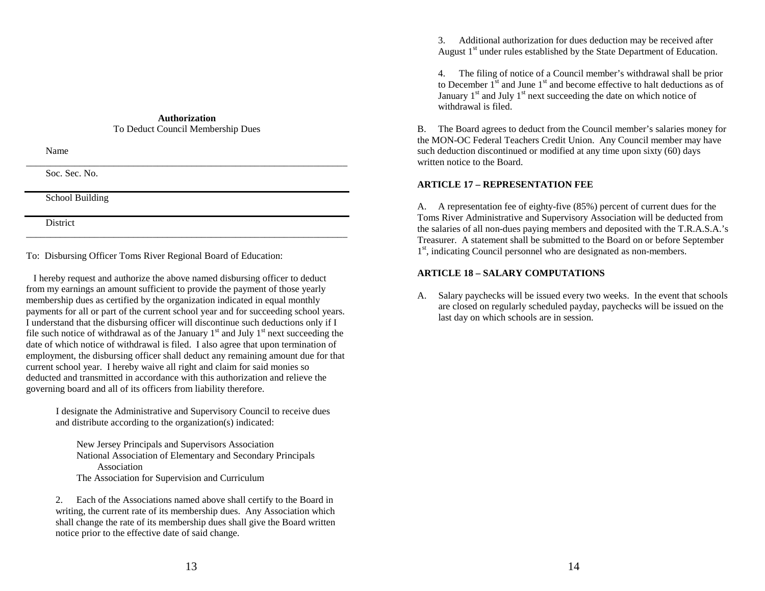#### **Authorization**To Deduct Council Membership Dues

Name

Soc. Sec. No.

School Building

District

To: Disbursing Officer Toms River Regional Board of Education:

 I hereby request and authorize the above named disbursing officer to deduct from my earnings an amount sufficient to provide the payment of those yearly membership dues as certified by the organization indicated in equal monthly payments for all or part of the current school year and for succeeding school years. I understand that the disbursing officer will discontinue such deductions only if I file such notice of withdrawal as of the January  $1<sup>st</sup>$  and July  $1<sup>st</sup>$  next succeeding the date of which notice of withdrawal is filed. I also agree that upon termination of employment, the disbursing officer shall deduct any remaining amount due for that current school year. I hereby waive all right and claim for said monies so deducted and transmitted in accordance with this authorization and relieve the governing board and all of its officers from liability therefore.

\_\_\_\_\_\_\_\_\_\_\_\_\_\_\_\_\_\_\_\_\_\_\_\_\_\_\_\_\_\_\_\_\_\_\_\_\_\_\_\_\_\_\_\_\_\_\_\_\_\_\_\_\_\_\_\_\_\_\_\_\_\_\_\_\_\_

I designate the Administrative and Supervisory Council to receive dues and distribute according to the organization(s) indicated:

 New Jersey Principals and Supervisors Association National Association of Elementary and Secondary Principals Association The Association for Supervision and Curriculum

2. Each of the Associations named above shall certify to the Board in writing, the current rate of its membership dues. Any Association which shall change the rate of its membership dues shall give the Board written notice prior to the effective date of said change.

3. Additional authorization for dues deduction may be received after August 1<sup>st</sup> under rules established by the State Department of Education.

4. The filing of notice of a Council member's withdrawal shall be prior to December  $1<sup>st</sup>$  and June  $1<sup>st</sup>$  and become effective to halt deductions as of January  $1<sup>st</sup>$  and July  $1<sup>st</sup>$  next succeeding the date on which notice of withdrawal is filed.

B. The Board agrees to deduct from the Council member's salaries money for the MON-OC Federal Teachers Credit Union. Any Council member may have such deduction discontinued or modified at any time upon sixty (60) days written notice to the Board.

# **ARTICLE 17 – REPRESENTATION FEE**

A. A representation fee of eighty-five (85%) percent of current dues for the Toms River Administrative and Supervisory Association will be deducted from the salaries of all non-dues paying members and deposited with the T.R.A.S.A.'s Treasurer. A statement shall be submitted to the Board on or before September 1<sup>st</sup>, indicating Council personnel who are designated as non-members.

# **ARTICLE 18 – SALARY COMPUTATIONS**

A. Salary paychecks will be issued every two weeks. In the event that schools are closed on regularly scheduled payday, paychecks will be issued on the last day on which schools are in session.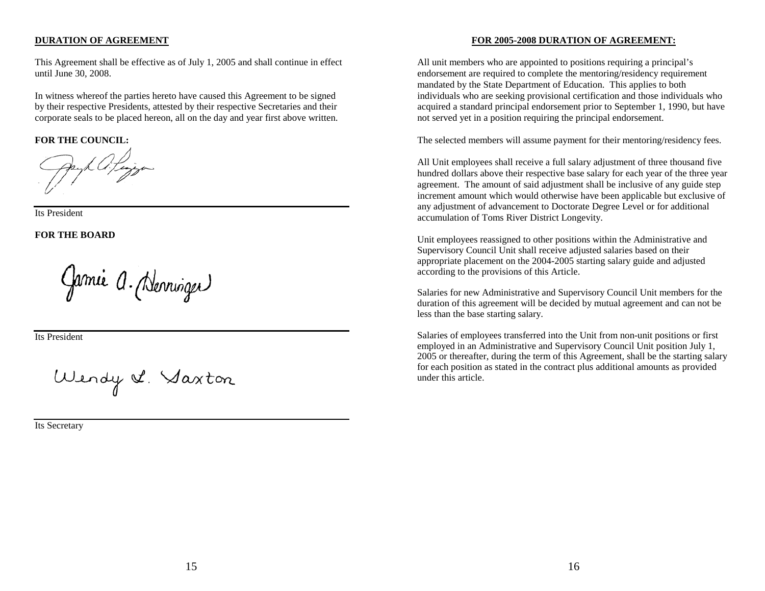### **DURATION OF AGREEMENT**

This Agreement shall be effective as of July 1, 2005 and shall continue in effect until June 30, 2008.

In witness whereof the parties hereto have caused this Agreement to be signed by their respective Presidents, attested by their respective Secretaries and their corporate seals to be placed hereon, all on the day and year first above written.

**FOR THE COUNCIL:**

Its President

**FOR THE BOARD**

Garnie a. (Nerringer)

Its President

Wendy & Saxton

Its Secretary

# **FOR 2005-2008 DURATION OF AGREEMENT:**

All unit members who are appointed to positions requiring a principal's endorsement are required to complete the mentoring/residency requirement mandated by the State Department of Education. This applies to both individuals who are seeking provisional certification and those individuals who acquired a standard principal endorsement prior to September 1, 1990, but have not served yet in a position requiring the principal endorsement.

The selected members will assume payment for their mentoring/residency fees.

All Unit employees shall receive a full salary adjustment of three thousand five hundred dollars above their respective base salary for each year of the three year agreement. The amount of said adjustment shall be inclusive of any guide step increment amount which would otherwise have been applicable but exclusive of any adjustment of advancement to Doctorate Degree Level or for additional accumulation of Toms River District Longevity.

Unit employees reassigned to other positions within the Administrative and Supervisory Council Unit shall receive adjusted salaries based on their appropriate placement on the 2004-2005 starting salary guide and adjusted according to the provisions of this Article.

Salaries for new Administrative and Supervisory Council Unit members for the duration of this agreement will be decided by mutual agreement and can not be less than the base starting salary.

Salaries of employees transferred into the Unit from non-unit positions or first employed in an Administrative and Supervisory Council Unit position July 1, 2005 or thereafter, during the term of this Agreement, shall be the starting salary for each position as stated in the contract plus additional amounts as provided under this article.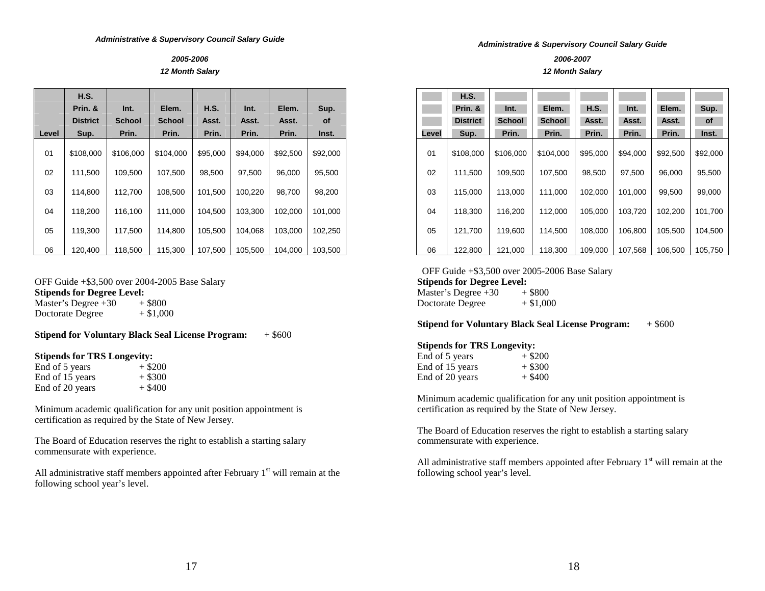#### *2005-2006 12 Month Salary*

|       | H.S.            |               |               |          |          |          |           |
|-------|-----------------|---------------|---------------|----------|----------|----------|-----------|
|       | Prin. &         | Int.          | Elem.         | H.S.     | Int.     | Elem.    | Sup.      |
|       | <b>District</b> | <b>School</b> | <b>School</b> | Asst.    | Asst.    | Asst.    | <b>of</b> |
| Level | Sup.            | Prin.         | Prin.         | Prin.    | Prin.    | Prin.    | Inst.     |
| 01    | \$108,000       | \$106,000     | \$104.000     | \$95,000 | \$94.000 | \$92,500 | \$92,000  |
| 02    | 111,500         | 109,500       | 107,500       | 98,500   | 97,500   | 96,000   | 95,500    |
| 03    | 114,800         | 112,700       | 108.500       | 101,500  | 100.220  | 98.700   | 98,200    |
| 04    | 118,200         | 116,100       | 111,000       | 104.500  | 103,300  | 102,000  | 101,000   |
| 05    | 119,300         | 117,500       | 114,800       | 105,500  | 104,068  | 103,000  | 102,250   |
| 06    | 120.400         | 118,500       | 115.300       | 107.500  | 105.500  | 104.000  | 103.500   |

OFF Guide +\$3,500 over 2004-2005 Base Salary **Stipends for Degree Level:**<br>Master's Degree +30 + \$800 Master's Degree  $+30$ Doctorate Degree  $+ $1,000$ 

**Stipend for Voluntary Black Seal License Program:**  $+$  \$600

#### **Stipends for TRS Longevity:**

| End of 5 years  | $+$ \$200 |
|-----------------|-----------|
| End of 15 years | $+$ \$300 |
| End of 20 years | $+$ \$400 |

Minimum academic qualification for any unit position appointment is certification as required by the State of New Jersey.

The Board of Education reserves the right to establish a starting salary commensurate with experience.

All administrative staff members appointed after February  $1<sup>st</sup>$  will remain at the following school year's level.

#### *Administrative & Supervisory Council Salary Guide*

*2006-2007* 

#### *12 Month Salary*

|       | H.S.            |               |               |          |          |          |          |
|-------|-----------------|---------------|---------------|----------|----------|----------|----------|
|       | Prin. &         | Int.          | Elem.         | H.S.     | Int.     | Elem.    | Sup.     |
|       | <b>District</b> | <b>School</b> | <b>School</b> | Asst.    | Asst.    | Asst.    | of       |
| Level | Sup.            | Prin.         | Prin.         | Prin.    | Prin.    | Prin.    | Inst.    |
| 01    | \$108,000       | \$106,000     | \$104,000     | \$95,000 | \$94.000 | \$92,500 | \$92,000 |
| 02    | 111,500         | 109,500       | 107,500       | 98,500   | 97,500   | 96,000   | 95,500   |
| 03    | 115,000         | 113,000       | 111,000       | 102,000  | 101,000  | 99,500   | 99,000   |
| 04    | 118,300         | 116.200       | 112.000       | 105.000  | 103.720  | 102.200  | 101,700  |
| 05    | 121,700         | 119,600       | 114,500       | 108,000  | 106,800  | 105,500  | 104,500  |
| 06    | 122,800         | 121,000       | 118,300       | 109.000  | 107.568  | 106.500  | 105.750  |

 OFF Guide +\$3,500 over 2005-2006 Base Salary **Stipends for Degree Level:** 

Master's Degree  $+30$   $+ $800$ <br>Doctorate Degree  $+ $1,000$ Doctorate Degree

### **Stipend for Voluntary Black Seal License Program:**  $+$  \$600

### **Stipends for TRS Longevity:**

| End of 5 years  | $+$ \$200 |
|-----------------|-----------|
| End of 15 years | $+$ \$300 |
| End of 20 years | $+$ \$400 |

Minimum academic qualification for any unit position appointment is certification as required by the State of New Jersey.

The Board of Education reserves the right to establish a starting salary commensurate with experience.

All administrative staff members appointed after February  $1<sup>st</sup>$  will remain at the following school year's level.